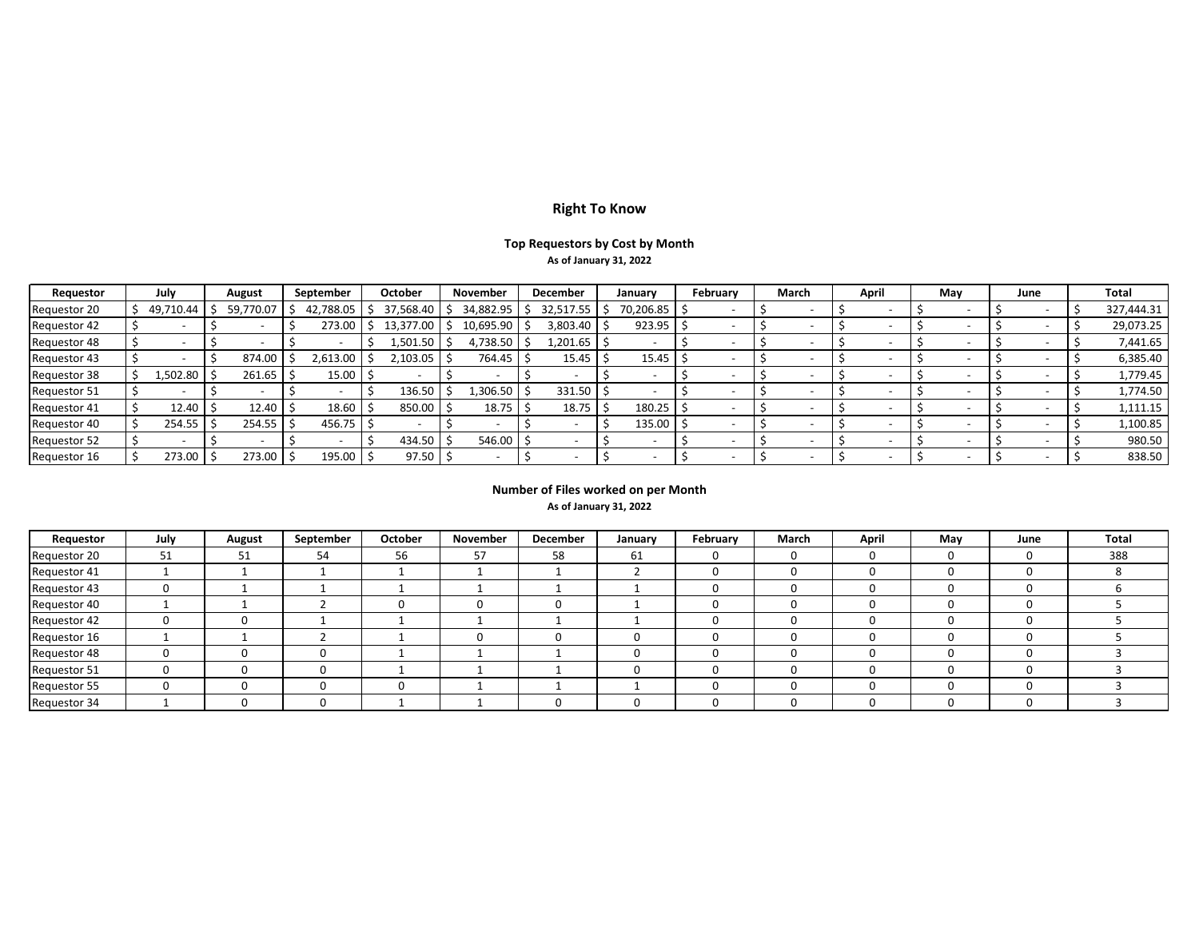# **Right To Know**

# **Top Requestors by Cost by Month As of January 31, 2022**

| Requestor           | July      | August        | September | October   | <b>November</b> | December   | January   | February | March | April | May | June | Total      |
|---------------------|-----------|---------------|-----------|-----------|-----------------|------------|-----------|----------|-------|-------|-----|------|------------|
| Requestor 20        | 49,710.44 | 59,770.07     | 42,788.05 | 37,568.40 | 34,882.95       | 32,517.55  | 70,206.85 |          |       |       |     |      | 327,444.31 |
| Requestor 42        |           |               | 273.00    | 13,377.00 | 10,695.90       | 3,803.40   | 923.95    |          |       |       |     |      | 29,073.25  |
| Requestor 48        |           |               |           | 1,501.50  | 4,738.50        | .,201.65 ' |           |          |       |       |     |      | 7,441.65   |
| Requestor 43        |           | 874.00        | 2,613.00  | 2,103.05  | 764.45          | 15.45      | 15.45     |          |       |       |     |      | 6,385.40   |
| Requestor 38        | 1,502.80  | 261.65        | 15.00     |           |                 |            |           |          |       |       |     |      | 1,779.45   |
| Requestor 51        |           |               |           | 136.50    | .,306.50        | 331.50     |           |          |       |       |     |      | 1,774.50   |
| <b>Requestor 41</b> | 12.40     | 12.40         | 18.60     | 850.00    | 18.75           | 18.75      | 180.25    |          |       |       |     |      | 1,111.15   |
| Requestor 40        | 254.55    | 254.55        | 456.75    |           |                 |            | 135.00    |          |       |       |     |      | 1,100.85   |
| Requestor 52        |           |               |           | 434.50    | 546.00          |            |           |          |       |       |     |      | 980.50     |
| Requestor 16        | 273.00    | $273.00$   \$ | 195.00    | 97.50     |                 |            |           |          |       |       |     |      | 838.50     |

## **Number of Files worked on per Month**

## **As of January 31, 2022**

| Requestor    | July | August | September | October | November | December | January | February | March | April | May | June         | Total |
|--------------|------|--------|-----------|---------|----------|----------|---------|----------|-------|-------|-----|--------------|-------|
| Requestor 20 | 51   | 51     | 54        | 56      | 57       | 58       | 61      |          | 0     |       |     | 0            | 388   |
| Requestor 41 |      |        |           |         |          |          |         |          | 0     |       |     | υ            |       |
| Requestor 43 | O    |        |           |         |          |          |         |          | 0     |       |     | 0            |       |
| Requestor 40 |      |        |           |         | 0        |          |         |          | 0     |       |     | 0            |       |
| Requestor 42 | 0    |        |           |         |          |          |         |          | 0     |       |     | <sup>0</sup> |       |
| Requestor 16 |      |        |           |         | $\Omega$ |          |         |          | 0     |       |     | 0            |       |
| Requestor 48 |      |        |           |         |          |          |         |          | 0     |       |     | 0            |       |
| Requestor 51 |      |        |           |         |          |          |         |          | 0     |       |     | <sup>0</sup> |       |
| Requestor 55 |      |        |           | м.      |          |          |         |          | 0     |       |     | 0            |       |
| Requestor 34 |      |        |           |         |          |          |         |          | 0     |       |     |              |       |